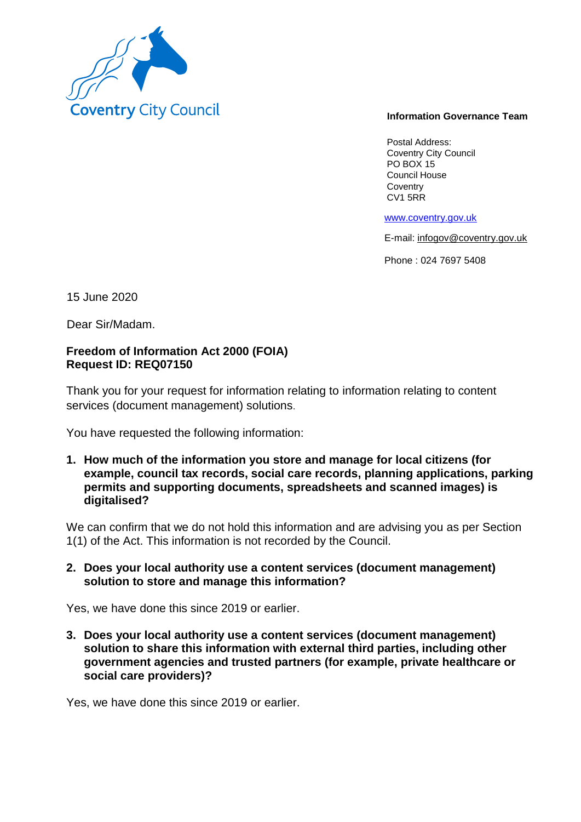

#### **Information Governance Team**

Postal Address: Coventry City Council PO BOX 15 Council House **Coventry** CV1 5RR

www.coventry.gov.uk

E-mail: infogov@coventry.gov.uk

Phone : 024 7697 5408

15 June 2020

Dear Sir/Madam.

# **Freedom of Information Act 2000 (FOIA) Request ID: REQ07150**

Thank you for your request for information relating to information relating to content services (document management) solutions.

You have requested the following information:

**1. How much of the information you store and manage for local citizens (for example, council tax records, social care records, planning applications, parking permits and supporting documents, spreadsheets and scanned images) is digitalised?**

We can confirm that we do not hold this information and are advising you as per Section 1(1) of the Act. This information is not recorded by the Council.

## **2. Does your local authority use a content services (document management) solution to store and manage this information?**

Yes, we have done this since 2019 or earlier.

**3. Does your local authority use a content services (document management) solution to share this information with external third parties, including other government agencies and trusted partners (for example, private healthcare or social care providers)?**

Yes, we have done this since 2019 or earlier.